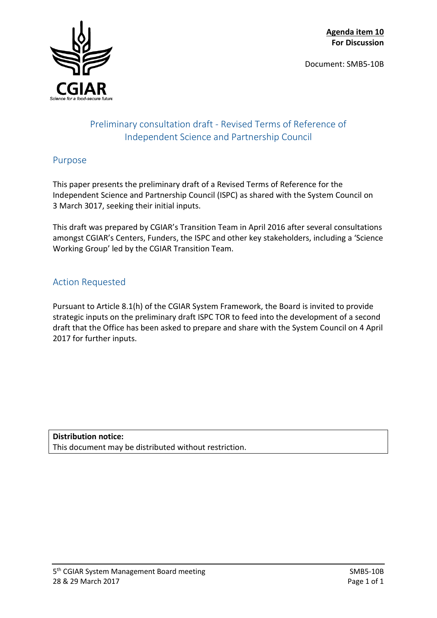Document: SMB5-10B



# Preliminary consultation draft - Revised Terms of Reference of Independent Science and Partnership Council

# Purpose

This paper presents the preliminary draft of a Revised Terms of Reference for the Independent Science and Partnership Council (ISPC) as shared with the System Council on 3 March 3017, seeking their initial inputs.

This draft was prepared by CGIAR's Transition Team in April 2016 after several consultations amongst CGIAR's Centers, Funders, the ISPC and other key stakeholders, including a 'Science Working Group' led by the CGIAR Transition Team.

# Action Requested

Pursuant to Article 8.1(h) of the CGIAR System Framework, the Board is invited to provide strategic inputs on the preliminary draft ISPC TOR to feed into the development of a second draft that the Office has been asked to prepare and share with the System Council on 4 April 2017 for further inputs.

**Distribution notice:** This document may be distributed without restriction.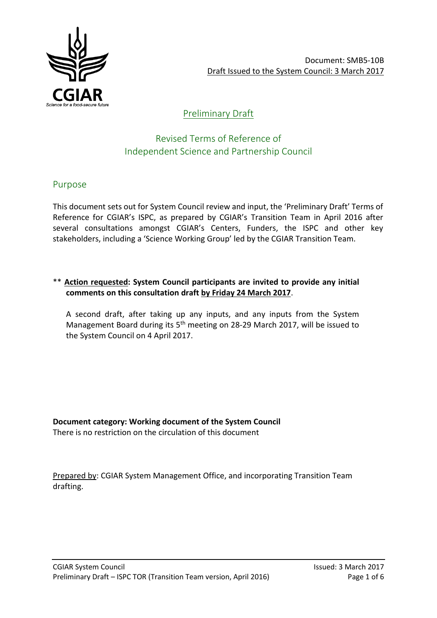

# Preliminary Draft

# Revised Terms of Reference of Independent Science and Partnership Council

## Purpose

This document sets out for System Council review and input, the 'Preliminary Draft' Terms of Reference for CGIAR's ISPC, as prepared by CGIAR's Transition Team in April 2016 after several consultations amongst CGIAR's Centers, Funders, the ISPC and other key stakeholders, including a 'Science Working Group' led by the CGIAR Transition Team.

## \*\* **Action requested: System Council participants are invited to provide any initial comments on this consultation draft by Friday 24 March 2017**.

A second draft, after taking up any inputs, and any inputs from the System Management Board during its 5<sup>th</sup> meeting on 28-29 March 2017, will be issued to the System Council on 4 April 2017.

**Document category: Working document of the System Council** There is no restriction on the circulation of this document

Prepared by: CGIAR System Management Office, and incorporating Transition Team drafting.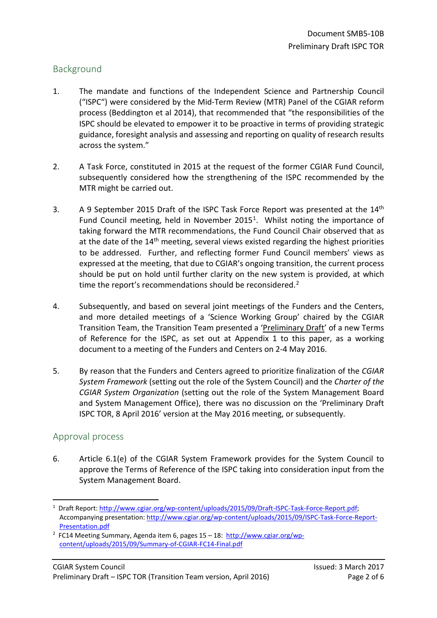## Background

- 1. The mandate and functions of the Independent Science and Partnership Council ("ISPC") were considered by the Mid-Term Review (MTR) Panel of the CGIAR reform process (Beddington et al 2014), that recommended that "the responsibilities of the ISPC should be elevated to empower it to be proactive in terms of providing strategic guidance, foresight analysis and assessing and reporting on quality of research results across the system."
- 2. A Task Force, constituted in 2015 at the request of the former CGIAR Fund Council, subsequently considered how the strengthening of the ISPC recommended by the MTR might be carried out.
- 3. A 9 September 2015 Draft of the ISPC Task Force Report was presented at the 14<sup>th</sup> Fund Council meeting, held in November 2015<sup>1</sup>. Whilst noting the importance of taking forward the MTR recommendations, the Fund Council Chair observed that as at the date of the 14<sup>th</sup> meeting, several views existed regarding the highest priorities to be addressed. Further, and reflecting former Fund Council members' views as expressed at the meeting, that due to CGIAR's ongoing transition, the current process should be put on hold until further clarity on the new system is provided, at which time the report's recommendations should be reconsidered.<sup>[2](#page-2-1)</sup>
- 4. Subsequently, and based on several joint meetings of the Funders and the Centers, and more detailed meetings of a 'Science Working Group' chaired by the CGIAR Transition Team, the Transition Team presented a 'Preliminary Draft' of a new Terms of Reference for the ISPC, as set out at Appendix 1 to this paper, as a working document to a meeting of the Funders and Centers on 2-4 May 2016.
- 5. By reason that the Funders and Centers agreed to prioritize finalization of the *CGIAR System Framework* (setting out the role of the System Council) and the *Charter of the CGIAR System Organization* (setting out the role of the System Management Board and System Management Office), there was no discussion on the 'Preliminary Draft ISPC TOR, 8 April 2016' version at the May 2016 meeting, or subsequently.

## Approval process

**.** 

6. Article 6.1(e) of the CGIAR System Framework provides for the System Council to approve the Terms of Reference of the ISPC taking into consideration input from the System Management Board.

<span id="page-2-0"></span><sup>&</sup>lt;sup>1</sup> Draft Report[: http://www.cgiar.org/wp-content/uploads/2015/09/Draft-ISPC-Task-Force-Report.pdf;](http://www.cgiar.org/wp-content/uploads/2015/09/Draft-ISPC-Task-Force-Report.pdf) Accompanying presentation: [http://www.cgiar.org/wp-content/uploads/2015/09/ISPC-Task-Force-Report-](http://www.cgiar.org/wp-content/uploads/2015/09/ISPC-Task-Force-Report-Presentation.pdf)

<span id="page-2-1"></span>Presentation.pdf<br><sup>2</sup> FC14 Meeting Summary, Agenda item 6, pages 15 – 18: [http://www.cgiar.org/wp](http://www.cgiar.org/wp-content/uploads/2015/09/Summary-of-CGIAR-FC14-Final.pdf)[content/uploads/2015/09/Summary-of-CGIAR-FC14-Final.pdf](http://www.cgiar.org/wp-content/uploads/2015/09/Summary-of-CGIAR-FC14-Final.pdf)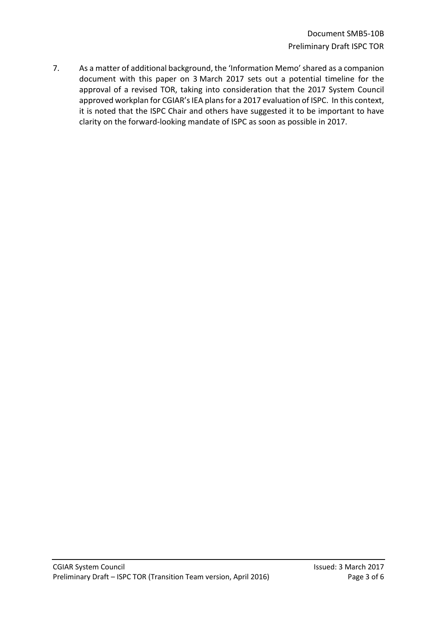7. As a matter of additional background, the 'Information Memo' shared as a companion document with this paper on 3 March 2017 sets out a potential timeline for the approval of a revised TOR, taking into consideration that the 2017 System Council approved workplan for CGIAR's IEA plans for a 2017 evaluation of ISPC. In this context, it is noted that the ISPC Chair and others have suggested it to be important to have clarity on the forward-looking mandate of ISPC as soon as possible in 2017.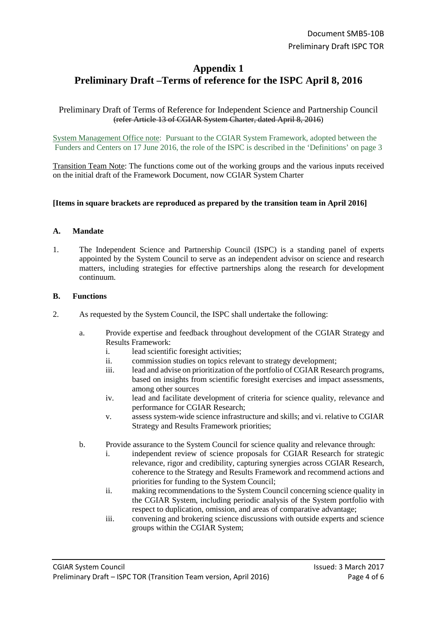# **Appendix 1 Preliminary Draft –Terms of reference for the ISPC April 8, 2016**

### Preliminary Draft of Terms of Reference for Independent Science and Partnership Council (refer Article 13 of CGIAR System Charter, dated April 8, 2016)

System Management Office note: Pursuant to the CGIAR System Framework, adopted between the Funders and Centers on 17 June 2016, the role of the ISPC is described in the 'Definitions' on page 3

Transition Team Note: The functions come out of the working groups and the various inputs received on the initial draft of the Framework Document, now CGIAR System Charter

### **[Items in square brackets are reproduced as prepared by the transition team in April 2016]**

### **A. Mandate**

1. The Independent Science and Partnership Council (ISPC) is a standing panel of experts appointed by the System Council to serve as an independent advisor on science and research matters, including strategies for effective partnerships along the research for development continuum.

#### **B. Functions**

- 2. As requested by the System Council, the ISPC shall undertake the following:
	- a. Provide expertise and feedback throughout development of the CGIAR Strategy and Results Framework:
		- i. lead scientific foresight activities;
		- ii. commission studies on topics relevant to strategy development;
		- iii. lead and advise on prioritization of the portfolio of CGIAR Research programs, based on insights from scientific foresight exercises and impact assessments, among other sources
		- iv. lead and facilitate development of criteria for science quality, relevance and performance for CGIAR Research;
		- v. assess system-wide science infrastructure and skills; and vi. relative to CGIAR Strategy and Results Framework priorities;
	- b. Provide assurance to the System Council for science quality and relevance through:
		- i. independent review of science proposals for CGIAR Research for strategic relevance, rigor and credibility, capturing synergies across CGIAR Research, coherence to the Strategy and Results Framework and recommend actions and priorities for funding to the System Council;
		- ii. making recommendations to the System Council concerning science quality in the CGIAR System, including periodic analysis of the System portfolio with respect to duplication, omission, and areas of comparative advantage;
		- iii. convening and brokering science discussions with outside experts and science groups within the CGIAR System;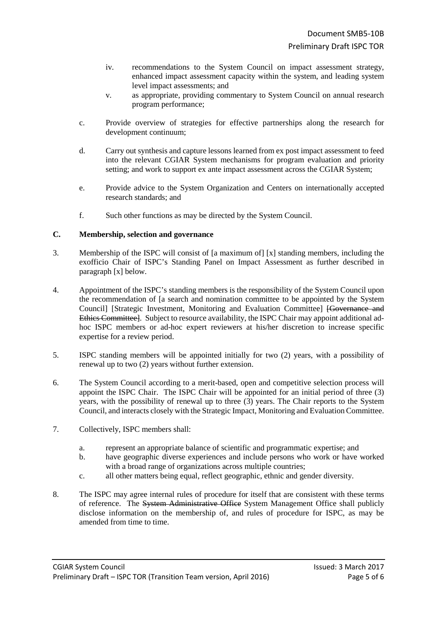- iv. recommendations to the System Council on impact assessment strategy, enhanced impact assessment capacity within the system, and leading system level impact assessments; and
- v. as appropriate, providing commentary to System Council on annual research program performance;
- c. Provide overview of strategies for effective partnerships along the research for development continuum;
- d. Carry out synthesis and capture lessons learned from ex post impact assessment to feed into the relevant CGIAR System mechanisms for program evaluation and priority setting; and work to support ex ante impact assessment across the CGIAR System;
- e. Provide advice to the System Organization and Centers on internationally accepted research standards; and
- f. Such other functions as may be directed by the System Council.

### **C. Membership, selection and governance**

- 3. Membership of the ISPC will consist of [a maximum of] [x] standing members, including the exofficio Chair of ISPC's Standing Panel on Impact Assessment as further described in paragraph [x] below.
- 4. Appointment of the ISPC's standing members is the responsibility of the System Council upon the recommendation of [a search and nomination committee to be appointed by the System Council] [Strategic Investment, Monitoring and Evaluation Committee] [Governance and Ethics Committee]. Subject to resource availability, the ISPC Chair may appoint additional adhoc ISPC members or ad-hoc expert reviewers at his/her discretion to increase specific expertise for a review period.
- 5. ISPC standing members will be appointed initially for two (2) years, with a possibility of renewal up to two (2) years without further extension.
- 6. The System Council according to a merit-based, open and competitive selection process will appoint the ISPC Chair. The ISPC Chair will be appointed for an initial period of three (3) years, with the possibility of renewal up to three (3) years. The Chair reports to the System Council, and interacts closely with the Strategic Impact, Monitoring and Evaluation Committee.
- 7. Collectively, ISPC members shall:
	- a. represent an appropriate balance of scientific and programmatic expertise; and
	- b. have geographic diverse experiences and include persons who work or have worked with a broad range of organizations across multiple countries;
	- c. all other matters being equal, reflect geographic, ethnic and gender diversity.
- 8. The ISPC may agree internal rules of procedure for itself that are consistent with these terms of reference. The System Administrative Office System Management Office shall publicly disclose information on the membership of, and rules of procedure for ISPC, as may be amended from time to time.